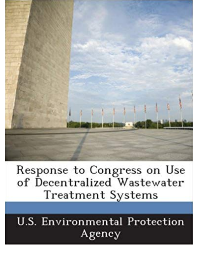

Response to Congress on Use of Decentralized Wastewater Treatment Systems

U.S. Environmental Protection Agency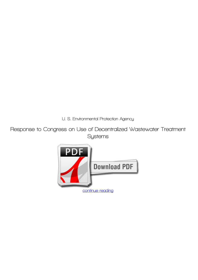*U. S. Environmental Protection Agency*

**Response to Congress on Use of Decentralized Wastewater Treatment Systems**

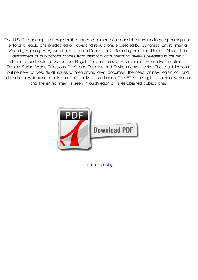**The U.S. The agency is charged with protecting human health and the surroundings, by writing and enforcing regulations predicated on laws and regulations exceeded by Congress. Environmental Security Agency (EPA) was introduced on December 2, 1970 by President Richard Nixon. This assortment of publications ranges from historical documents to reviews released in the new millennium, and features works like: Bicycle for an improved Environment, Health Ramifications of Raising Sulfur Oxides Emissions Draft, and Females and Environmental Health. These publications outline new policies, detail issues with enforcing laws, document the need for new legislation, and describe new tactics to make use of to solve these issues. The EPA's struggle to protect wellness and the environment is seen through each of its established publications.**



**[continue reading](http://bit.ly/2Tge8Fv)**